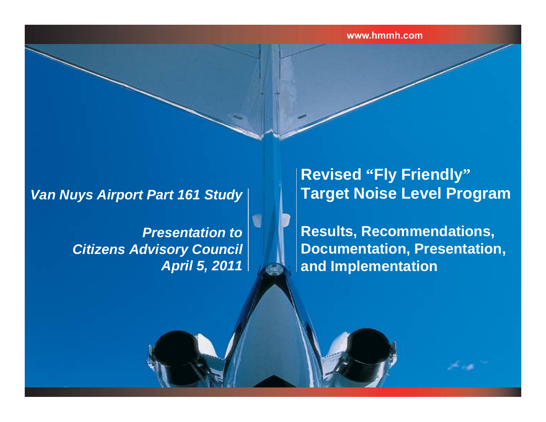#### *Van Nuys Airport Part 161 Study*

*Presentation to Citizens Advisory Council April 5, 2011*

#### **Revised "Fly Friendly" Target Noise Level Program**

**Results, Recommendations, Documentation, Presentation, and Implementation**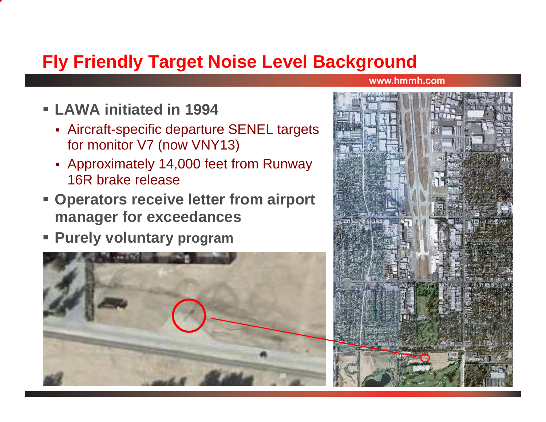# **Fly Friendly Target Noise Level Background**

- **LAWA initiated in 1994**
	- Aircraft-specific departure SENEL targets for monitor V7 (now VNY13)
	- Approximately 14,000 feet from Runway 16R brake release
- **Operators receive letter from airport manager for exceedances**
- P. **Purely voluntary program**



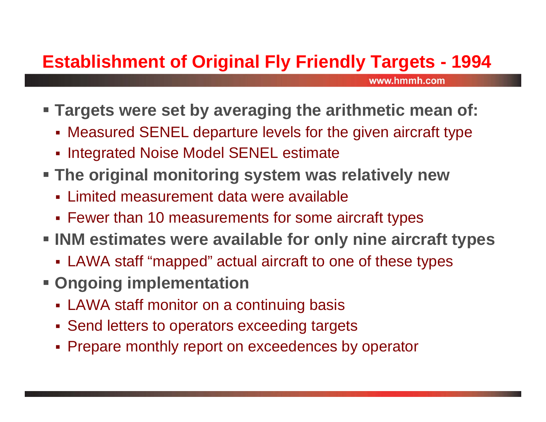# **Establishment of Original Fly Friendly Targets - 1994**

- **Targets were set by averaging the arithmetic mean of:**
	- Measured SENEL departure levels for the given aircraft type
	- **Integrated Noise Model SENEL estimate**
- **The original monitoring system was relatively new**
	- Limited measurement data were available
	- Fewer than 10 measurements for some aircraft types
- **INM estimates were available for only nine aircraft types**
	- LAWA staff "mapped" actual aircraft to one of these types
- **Ongoing implementation**
	- LAWA staff monitor on a continuing basis
	- **Send letters to operators exceeding targets**
	- Prepare monthly report on exceedences by operator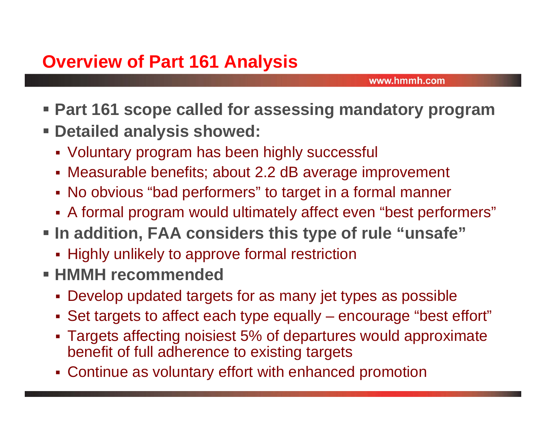- **Part 161 scope called for assessing mandatory program Detailed analysis showed:**
	- Voluntary program has been highly successful
	- Measurable benefits; about 2.2 dB average improvement
	- No obvious "bad performers" to target in a formal manner
	- A formal program would ultimately affect even "best performers"
- **In addition, FAA considers this type of rule "unsafe"**
	- **-** Highly unlikely to approve formal restriction
- **HMMH recommended**
	- Develop updated targets for as many jet types as possible
	- Set targets to affect each type equally encourage "best effort"
	- Targets affecting noisiest 5% of departures would approximate benefit of full adherence to existing targets
	- Continue as voluntary effort with enhanced promotion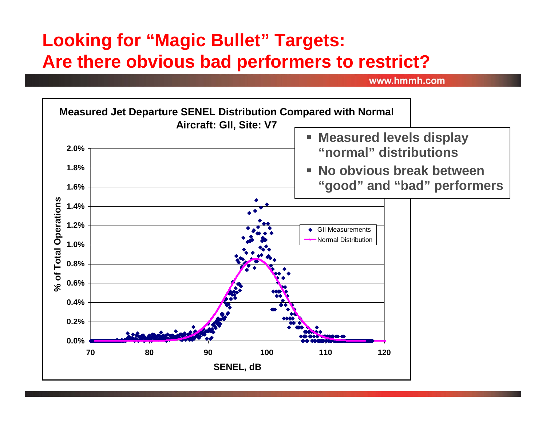### **Looking for "Magic Bullet" Targets: Are there obvious bad performers to restrict?**

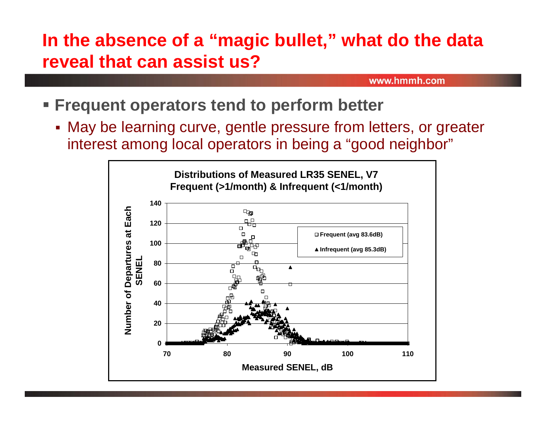### **In the absence of a "magic bullet," what do the data reveal that can assist us?**

- **Frequent operators tend to perform better**
	- May be learning curve, gentle pressure from letters, or greater interest among local operators in being a "good neighbor"

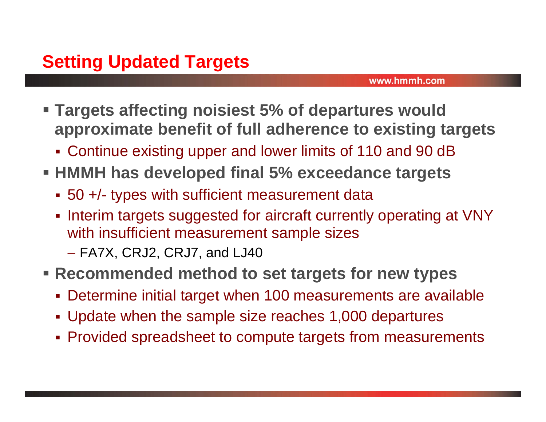- **Targets affecting noisiest 5% of departures would approximate benefit of full adherence to existing targets**
	- Continue existing upper and lower limits of 110 and 90 dB
- **HMMH has developed final 5% exceedance targets**
	- 50 +/- types with sufficient measurement data
	- Interim targets suggested for aircraft currently operating at VNY with insufficient measurement sample sizes
		- FA7X, CRJ2, CRJ7, and LJ40
- **Recommended method to set targets for new types**
	- Determine initial target when 100 measurements are available
	- Update when the sample size reaches 1,000 departures
	- Provided spreadsheet to compute targets from measurements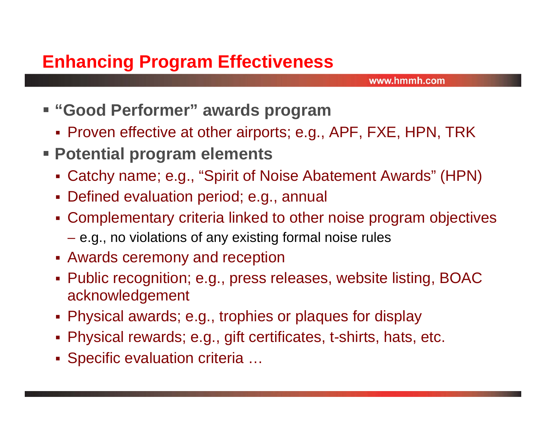- **"Good Performer" awards program**
	- Proven effective at other airports; e.g., APF, FXE, HPN, TRK
- **Potential program elements**
	- Catchy name; e.g., "Spirit of Noise Abatement Awards" (HPN)
	- Defined evaluation period; e.g., annual
	- Complementary criteria linked to other noise program objectives
		- $-$  e.g., no violations of any existing formal noise rules
	- Awards ceremony and reception
	- Public recognition; e.g., press releases, website listing, BOAC acknowledgement
	- Physical awards; e.g., trophies or plaques for display
	- Physical rewards; e.g., gift certificates, t-shirts, hats, etc.
	- **Specific evaluation criteria ...**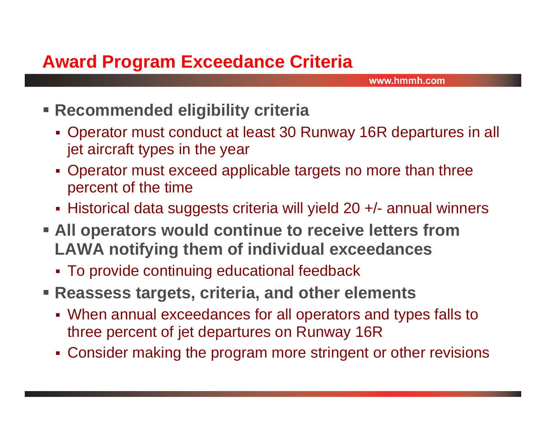#### **Award Program Exceedance Criteria**

- **Recommended eligibility criteria**
	- Operator must conduct at least 30 Runway 16R departures in all jet aircraft types in the year
	- Operator must exceed applicable targets no more than three percent of the time
	- Historical data suggests criteria will yield 20 +/- annual winners
- **All operators would continue to receive letters from LAWA notifying them of individual exceedances**
	- To provide continuing educational feedback
- **Reassess targets, criteria, and other elements**
	- When annual exceedances for all operators and types falls to three percent of jet departures on Runway 16R
	- Consider making the program more stringent or other revisions